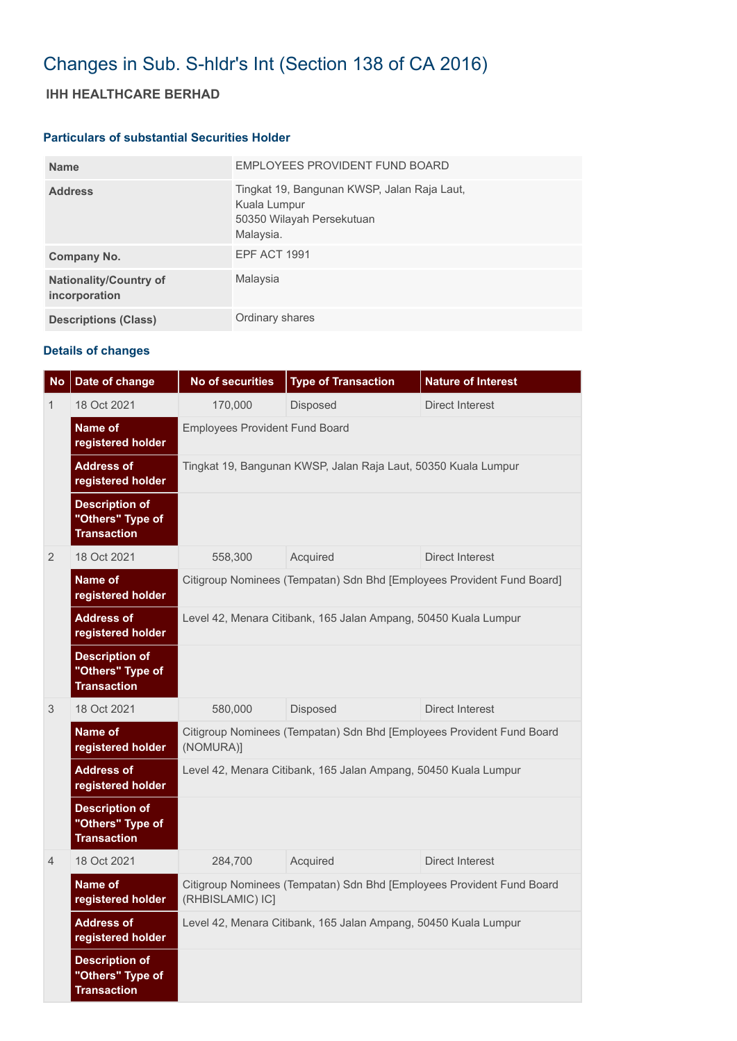# Changes in Sub. S-hldr's Int (Section 138 of CA 2016)

## **IHH HEALTHCARE BERHAD**

#### **Particulars of substantial Securities Holder**

| <b>Name</b>                                    | EMPLOYEES PROVIDENT FUND BOARD                                                                        |
|------------------------------------------------|-------------------------------------------------------------------------------------------------------|
| <b>Address</b>                                 | Tingkat 19, Bangunan KWSP, Jalan Raja Laut,<br>Kuala Lumpur<br>50350 Wilayah Persekutuan<br>Malaysia. |
| Company No.                                    | <b>EPF ACT 1991</b>                                                                                   |
| <b>Nationality/Country of</b><br>incorporation | Malaysia                                                                                              |
| <b>Descriptions (Class)</b>                    | Ordinary shares                                                                                       |

### **Details of changes**

| <b>No</b>      | Date of change                                                  | <b>No of securities</b>                                                                   | <b>Type of Transaction</b> | <b>Nature of Interest</b> |  |  |
|----------------|-----------------------------------------------------------------|-------------------------------------------------------------------------------------------|----------------------------|---------------------------|--|--|
| 1              | 18 Oct 2021                                                     | 170,000                                                                                   | Disposed                   | <b>Direct Interest</b>    |  |  |
|                | Name of<br>registered holder                                    | <b>Employees Provident Fund Board</b>                                                     |                            |                           |  |  |
|                | <b>Address of</b><br>registered holder                          | Tingkat 19, Bangunan KWSP, Jalan Raja Laut, 50350 Kuala Lumpur                            |                            |                           |  |  |
|                | <b>Description of</b><br>"Others" Type of<br><b>Transaction</b> |                                                                                           |                            |                           |  |  |
| 2              | 18 Oct 2021                                                     | 558,300                                                                                   | Acquired                   | Direct Interest           |  |  |
|                | Name of<br>registered holder                                    | Citigroup Nominees (Tempatan) Sdn Bhd [Employees Provident Fund Board]                    |                            |                           |  |  |
|                | <b>Address of</b><br>registered holder                          | Level 42, Menara Citibank, 165 Jalan Ampang, 50450 Kuala Lumpur                           |                            |                           |  |  |
|                | <b>Description of</b><br>"Others" Type of<br><b>Transaction</b> |                                                                                           |                            |                           |  |  |
| 3              | 18 Oct 2021                                                     | 580,000                                                                                   | Disposed                   | Direct Interest           |  |  |
|                | Name of<br>registered holder                                    | Citigroup Nominees (Tempatan) Sdn Bhd [Employees Provident Fund Board<br>(NOMURA)]        |                            |                           |  |  |
|                | <b>Address of</b><br>registered holder                          | Level 42, Menara Citibank, 165 Jalan Ampang, 50450 Kuala Lumpur                           |                            |                           |  |  |
|                | <b>Description of</b><br>"Others" Type of<br><b>Transaction</b> |                                                                                           |                            |                           |  |  |
| $\overline{4}$ | 18 Oct 2021                                                     | 284,700                                                                                   | Acquired                   | <b>Direct Interest</b>    |  |  |
|                | Name of<br>registered holder                                    | Citigroup Nominees (Tempatan) Sdn Bhd [Employees Provident Fund Board<br>(RHBISLAMIC) IC] |                            |                           |  |  |
|                | <b>Address of</b><br>registered holder                          | Level 42, Menara Citibank, 165 Jalan Ampang, 50450 Kuala Lumpur                           |                            |                           |  |  |
|                | <b>Description of</b><br>"Others" Type of<br><b>Transaction</b> |                                                                                           |                            |                           |  |  |